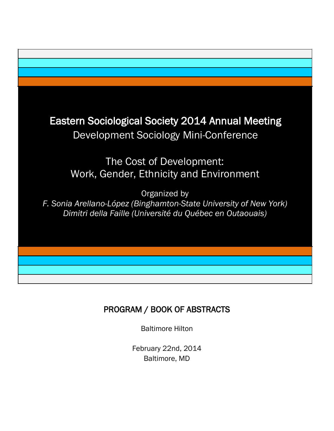

# PROGRAM / BOOK OF ABSTRACTS

Baltimore Hilton

February 22nd, 2014 Baltimore, MD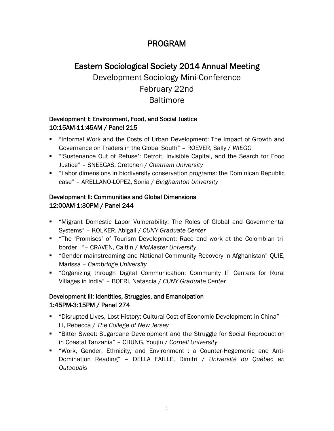# PROGRAM

# Eastern Sociological Society 2014 Annual Meeting Development Sociology Mini-Conference February 22nd **Baltimore**

## Development I: Environment, Food, and Social Justice 10:15AM-11:45AM / Panel 215

- "Informal Work and the Costs of Urban Development: The Impact of Growth and Governance on Traders in the Global South" – ROEVER, Sally / *WIEGO*
- "'Sustenance Out of Refuse': Detroit, Invisible Capital, and the Search for Food Justice" – SNEEGAS, Gretchen / *Chatham University*
- "Labor dimensions in biodiversity conservation programs: the Dominican Republic case" – ARELLANO-LOPEZ, Sonia / *Binghamton University*

## Development II: Communities and Global Dimensions 12:00AM-1:30PM / Panel 244

- "Migrant Domestic Labor Vulnerability: The Roles of Global and Governmental Systems" – KOLKER, Abigail / *CUNY Graduate Center*
- "The 'Promises' of Tourism Development: Race and work at the Colombian triborder "– CRAVEN, Caitlin / *McMaster University*
- "Gender mainstreaming and National Community Recovery in Afghanistan" QUIE, Marissa – *Cambridge University*
- "Organizing through Digital Communication: Community IT Centers for Rural Villages in India" – BOERI, Natascia / *CUNY Graduate Center*

## Development III: Identities, Struggles, and Emancipation 1:45PM-3:15PM / Panel 274

- "Disrupted Lives, Lost History: Cultural Cost of Economic Development in China" LI, Rebecca / *The College of New Jersey*
- "Bitter Sweet: Sugarcane Development and the Struggle for Social Reproduction in Coastal Tanzania" – CHUNG, Youjin / *Cornell University*
- "Work, Gender, Ethnicity, and Environment : a Counter-Hegemonic and Anti-Domination Reading" – DELLA FAILLE, Dimitri / *Université du Québec en Outaouais*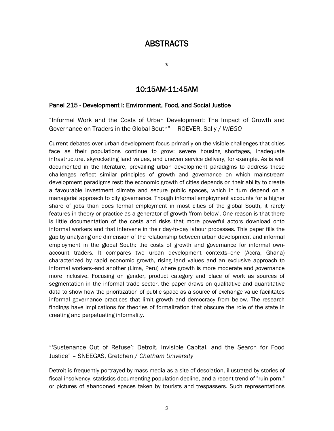# ABSTRACTS

\*

## 10:15AM-11:45AM

#### Panel 215 - Development I: Environment, Food, and Social Justice

"Informal Work and the Costs of Urban Development: The Impact of Growth and Governance on Traders in the Global South" – ROEVER, Sally / *WIEGO*

Current debates over urban development focus primarily on the visible challenges that cities face as their populations continue to grow: severe housing shortages, inadequate infrastructure, skyrocketing land values, and uneven service delivery, for example. As is well documented in the literature, prevailing urban development paradigms to address these challenges reflect similar principles of growth and governance on which mainstream development paradigms rest: the economic growth of cities depends on their ability to create a favourable investment climate and secure public spaces, which in turn depend on a managerial approach to city governance. Though informal employment accounts for a higher share of jobs than does formal employment in most cities of the global South, it rarely features in theory or practice as a generator of growth 'from below'. One reason is that there is little documentation of the costs and risks that more powerful actors download onto informal workers and that intervene in their day-to-day labour processes. This paper fills the gap by analyzing one dimension of the relationship between urban development and informal employment in the global South: the costs of growth and governance for informal ownaccount traders. It compares two urban development contexts--one (Accra, Ghana) characterized by rapid economic growth, rising land values and an exclusive approach to informal workers--and another (Lima, Peru) where growth is more moderate and governance more inclusive. Focusing on gender, product category and place of work as sources of segmentation in the informal trade sector, the paper draws on qualitative and quantitative data to show how the prioritization of public space as a source of exchange value facilitates informal governance practices that limit growth and democracy from below. The research findings have implications for theories of formalization that obscure the role of the state in creating and perpetuating informality.

"'Sustenance Out of Refuse': Detroit, Invisible Capital, and the Search for Food Justice" – SNEEGAS, Gretchen / *Chatham University*

-

Detroit is frequently portrayed by mass media as a site of desolation, illustrated by stories of fiscal insolvency, statistics documenting population decline, and a recent trend of "ruin porn," or pictures of abandoned spaces taken by tourists and trespassers. Such representations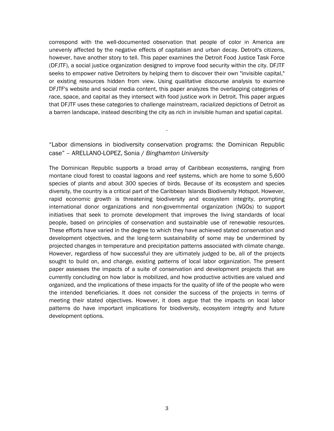correspond with the well-documented observation that people of color in America are unevenly affected by the negative effects of capitalism and urban decay. Detroit's citizens, however, have another story to tell. This paper examines the Detroit Food Justice Task Force (DFJTF), a social justice organization designed to improve food security within the city. DFJTF seeks to empower native Detroiters by helping them to discover their own "invisible capital," or existing resources hidden from view. Using qualitative discourse analysis to examine DFJTF's website and social media content, this paper analyzes the overlapping categories of race, space, and capital as they intersect with food justice work in Detroit. This paper argues that DFJTF uses these categories to challenge mainstream, racialized depictions of Detroit as a barren landscape, instead describing the city as rich in invisible human and spatial capital.

### "Labor dimensions in biodiversity conservation programs: the Dominican Republic case" – ARELLANO-LOPEZ, Sonia / *Binghamton University*

-

The Dominican Republic supports a broad array of Caribbean ecosystems, ranging from montane cloud forest to coastal lagoons and reef systems, which are home to some 5,600 species of plants and about 300 species of birds. Because of its ecosystem and species diversity, the country is a critical part of the Caribbean Islands Biodiversity Hotspot. However, rapid economic growth is threatening biodiversity and ecosystem integrity, prompting international donor organizations and non-governmental organization (NGOs) to support initiatives that seek to promote development that improves the living standards of local people, based on principles of conservation and sustainable use of renewable resources. These efforts have varied in the degree to which they have achieved stated conservation and development objectives, and the long-term sustainability of some may be undermined by projected changes in temperature and precipitation patterns associated with climate change. However, regardless of how successful they are ultimately judged to be, all of the projects sought to build on, and change, existing patterns of local labor organization. The present paper assesses the impacts of a suite of conservation and development projects that are currently concluding on how labor is mobilized, and how productive activities are valued and organized, and the implications of these impacts for the quality of life of the people who were the intended beneficiaries. It does not consider the success of the projects in terms of meeting their stated objectives. However, it does argue that the impacts on local labor patterns do have important implications for biodiversity, ecosystem integrity and future development options.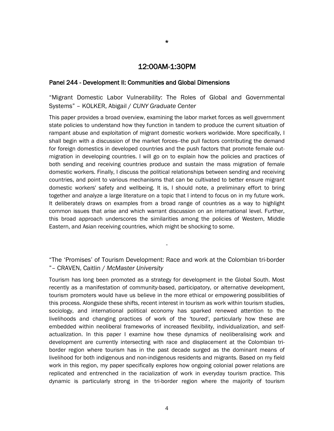#### 12:00AM-1:30PM

#### Panel 244 - Development II: Communities and Global Dimensions

"Migrant Domestic Labor Vulnerability: The Roles of Global and Governmental Systems" – KOLKER, Abigail / *CUNY Graduate Center*

This paper provides a broad overview, examining the labor market forces as well government state policies to understand how they function in tandem to produce the current situation of rampant abuse and exploitation of migrant domestic workers worldwide. More specifically, I shall begin with a discussion of the market forces--the pull factors contributing the demand for foreign domestics in developed countries and the push factors that promote female outmigration in developing countries. I will go on to explain how the policies and practices of both sending and receiving countries produce and sustain the mass migration of female domestic workers. Finally, I discuss the political relationships between sending and receiving countries, and point to various mechanisms that can be cultivated to better ensure migrant domestic workers' safety and wellbeing. It is, I should note, a preliminary effort to bring together and analyze a large literature on a topic that I intend to focus on in my future work. It deliberately draws on examples from a broad range of countries as a way to highlight common issues that arise and which warrant discussion on an international level. Further, this broad approach underscores the similarities among the policies of Western, Middle Eastern, and Asian receiving countries, which might be shocking to some.

"The 'Promises' of Tourism Development: Race and work at the Colombian tri-border "– CRAVEN, Caitlin / *McMaster University*

-

Tourism has long been promoted as a strategy for development in the Global South. Most recently as a manifestation of community-based, participatory, or alternative development, tourism promoters would have us believe in the more ethical or empowering possibilities of this process. Alongside these shifts, recent interest in tourism as work within tourism studies, sociology, and international political economy has sparked renewed attention to the livelihoods and changing practices of work of the 'toured', particularly how these are embedded within neoliberal frameworks of increased flexibility, individualization, and selfactualization. In this paper I examine how these dynamics of neoliberalising work and development are currently intersecting with race and displacement at the Colombian triborder region where tourism has in the past decade surged as the dominant means of livelihood for both indigenous and non-indigenous residents and migrants. Based on my field work in this region, my paper specifically explores how ongoing colonial power relations are replicated and entrenched in the racialization of work in everyday tourism practice. This dynamic is particularly strong in the tri-border region where the majority of tourism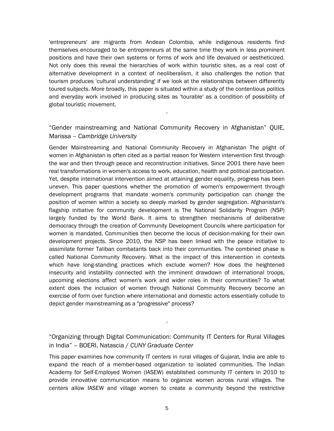'entrepreneurs' are migrants from Andean Colombia, while indigenous residents find themselves encouraged to be entrepreneurs at the same time they work in less prominent positions and have their own systems or forms of work and life devalued or aestheticized. Not only does this reveal the hierarchies of work within touristic sites, as a real cost of alternative development in a context of neoliberalism, it also challenges the notion that tourism produces 'cultural understanding' if we look at the relationships between differently toured subjects. More broadly, this paper is situated within a study of the contentious politics and everyday work involved in producing sites as 'tourable' as a condition of possibility of global touristic movement.

## "Gender mainstreaming and National Community Recovery in Afghanistan" QUIE, Marissa – *Cambridge University*

-

Gender Mainstreaming and National Community Recovery in Afghanistan The plight of women in Afghanistan is often cited as a partial reason for Western intervention first through the war and then through peace and reconstruction initiatives. Since 2001 there have been real transformations in women's access to work, education, health and political participation. Yet, despite international intervention aimed at attaining gender equality, progress has been uneven. This paper questions whether the promotion of women's empowerment through development programs that mandate women's community participation can change the position of women within a society so deeply marked by gender segregation. Afghanistan's flagship initiative for community development is The National Solidarity Program (NSP) largely funded by the World Bank. It aims to strengthen mechanisms of deliberative democracy through the creation of Community Development Councils where participation for women is mandated. Communities then become the locus of decision-making for their own development projects. Since 2010, the NSP has been linked with the peace initiative to assimilate former Taliban combatants back into their communities. The combined phase is called National Community Recovery. What is the impact of this intervention in contexts which have long-standing practices which exclude women? How does the heightened insecurity and instability connected with the imminent drawdown of international troops, upcoming elections affect women's work and wider roles in their communities? To what extent does the inclusion of women through National Community Recovery become an exercise of form over function where international and domestic actors essentially collude to depict gender mainstreaming as a "progressive" process?

"Organizing through Digital Communication: Community IT Centers for Rural Villages in India" – BOERI, Natascia / *CUNY Graduate Center*

-

This paper examines how community IT centers in rural villages of Gujarat, India are able to expand the reach of a member-based organization to isolated communities. The Indian Academy for Self-Employed Women (IASEW) established community IT centers in 2010 to provide innovative communication means to organize women across rural villages. The centers allow IASEW and village women to create a community beyond the restrictive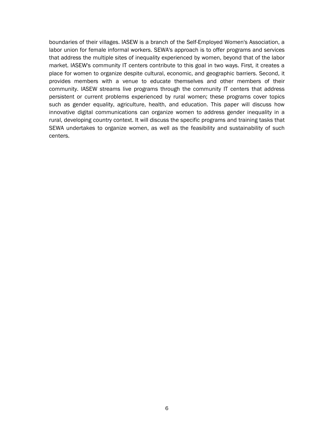boundaries of their villages. IASEW is a branch of the Self-Employed Women's Association, a labor union for female informal workers. SEWA's approach is to offer programs and services that address the multiple sites of inequality experienced by women, beyond that of the labor market. IASEW's community IT centers contribute to this goal in two ways. First, it creates a place for women to organize despite cultural, economic, and geographic barriers. Second, it provides members with a venue to educate themselves and other members of their community. IASEW streams live programs through the community IT centers that address persistent or current problems experienced by rural women; these programs cover topics such as gender equality, agriculture, health, and education. This paper will discuss how innovative digital communications can organize women to address gender inequality in a rural, developing country context. It will discuss the specific programs and training tasks that SEWA undertakes to organize women, as well as the feasibility and sustainability of such centers.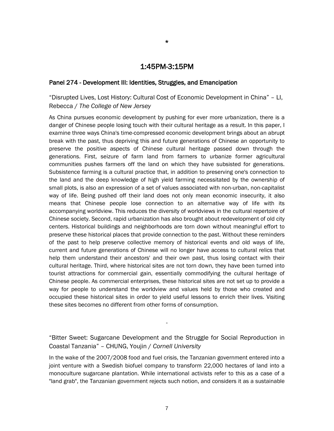### 1:45PM-3:15PM

#### Panel 274 - Development III: Identities, Struggles, and Emancipation

"Disrupted Lives, Lost History: Cultural Cost of Economic Development in China" – LI, Rebecca / *The College of New Jersey*

As China pursues economic development by pushing for ever more urbanization, there is a danger of Chinese people losing touch with their cultural heritage as a result. In this paper, I examine three ways China's time-compressed economic development brings about an abrupt break with the past, thus depriving this and future generations of Chinese an opportunity to preserve the positive aspects of Chinese cultural heritage passed down through the generations. First, seizure of farm land from farmers to urbanize former agricultural communities pushes farmers off the land on which they have subsisted for generations. Subsistence farming is a cultural practice that, in addition to preserving one's connection to the land and the deep knowledge of high yield farming necessitated by the ownership of small plots, is also an expression of a set of values associated with non-urban, non-capitalist way of life. Being pushed off their land does not only mean economic insecurity, it also means that Chinese people lose connection to an alternative way of life with its accompanying worldview. This reduces the diversity of worldviews in the cultural repertoire of Chinese society. Second, rapid urbanization has also brought about redevelopment of old city centers. Historical buildings and neighborhoods are torn down without meaningful effort to preserve these historical places that provide connection to the past. Without these reminders of the past to help preserve collective memory of historical events and old ways of life, current and future generations of Chinese will no longer have access to cultural relics that help them understand their ancestors' and their own past, thus losing contact with their cultural heritage. Third, where historical sites are not torn down, they have been turned into tourist attractions for commercial gain, essentially commodifying the cultural heritage of Chinese people. As commercial enterprises, these historical sites are not set up to provide a way for people to understand the worldview and values held by those who created and occupied these historical sites in order to yield useful lessons to enrich their lives. Visiting these sites becomes no different from other forms of consumption.

"Bitter Sweet: Sugarcane Development and the Struggle for Social Reproduction in Coastal Tanzania" – CHUNG, Youjin / *Cornell University*

-

In the wake of the 2007/2008 food and fuel crisis, the Tanzanian government entered into a joint venture with a Swedish biofuel company to transform 22,000 hectares of land into a monoculture sugarcane plantation. While international activists refer to this as a case of a "land grab", the Tanzanian government rejects such notion, and considers it as a sustainable